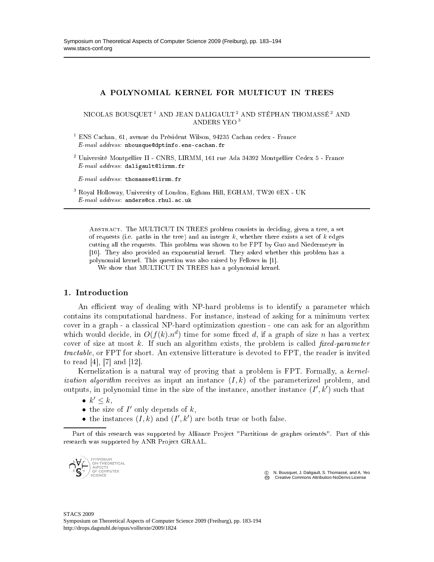# A POLYNOMIAL KERNEL FOR MULTICUT IN TREES

NICOLAS BOUSQUET<sup>1</sup> AND JEAN DALIGAULT<sup>2</sup> AND STÉPHAN THOMASSÉ<sup>2</sup> AND ANDERS YEO <sup>3</sup>

<sup>1</sup> ENS Cachan, 61, avenue du Président Wilson, 94235 Cachan cedex - France  $E$ -mail address: nbousque@dptinfo.ens-cachan.fr

 $^2$  Université Montpellier II - CNRS, LIRMM, 161 rue Ada 34392 Montpellier Cedex 5 - France  $E-mail$  address: daligault@lirmm.fr

 $E-mail$   $address:$  thomasse@lirmm.fr

3 Royal Holloway, University of London, Egham Hill, EGHAM, TW20 0EX - UK  $E$ -mail address: anders@cs.rhul.ac.uk

ABSTRACT. The MULTICUT IN TREES problem consists in deciding, given a tree, a set of requests (i.e. paths in the tree) and an integer  $k$ , whether there exists a set of  $k$  edges utting all the requests. This problem was shown to be FPT by Guo and Niedermeyer in [10]. They also provided an exponential kernel. They asked whether this problem has a polynomial kernel. This question was also raised by Fellows in [1].

We show that MULTICUT IN TREES has a polynomial kernel.

# 1. Introduction

An efficient way of dealing with NP-hard problems is to identify a parameter which ontains its omputational hardness. For instan
e, instead of asking for a minimum vertex cover in a graph - a classical NP-hard optimization question - one can ask for an algorithm which would decide, in  $O(f(k).n^d)$  time for some fixed d, if a graph of size n has a vertex cover of size at most  $k$ . If such an algorithm exists, the problem is called *fixed-parameter* tractable, or FPT for short. An extensive litterature is devoted to FPT, the reader is invited to read  $[4]$ ,  $[7]$  and  $[12]$ .

Kernelization is a natural way of proving that a problem is FPT. Formally, a kernel*ization algorithm* receives as input an instance  $(I, k)$  of the parameterized problem, and outputs, in polynomial time in the size of the instance, another instance  $(I', \vec{k}')$  such that

- $k' \leq k$ ,
- the size of  $I'$  only depends of  $k$ ,
- the instances  $(I, k)$  and  $(I', k')$  are both true or both false.

Part of this research was supported by Alliance Project "Partitions de graphes orientés". Part of this research was supported by ANR Project GRAAL.



 c N. Bousquet, J. Daligault, S. Thomassé, and A. Yeo Creative Commons Attribution-NoDerivs License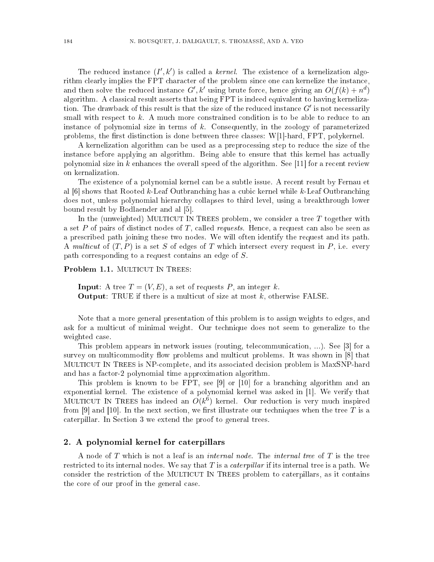The reduced instance  $(I', k')$  is called a *kernel*. The existence of a kernelization algorithm clearly implies the FPT character of the problem since one can kernelize the instance, and then solve the reduced instance  $G', k'$  using brute force, hence giving an  $O(f(k) + n^d)$ algorithm. A classical result asserts that being FPT is indeed equivalent to having kernelization. The drawback of this result is that the size of the reduced instance  $G'$  is not necessarily small with respect to k. A much more constrained condition is to be able to reduce to an instan
e of polynomial size in terms of k. Consequently, in the zoology of parameterized problems, the first distinction is done between three classes:  $W[1]$ -hard,  $FPT$ , polykernel.

A kernelization algorithm can be used as a preprocessing step to reduce the size of the instan
e before applying an algorithm. Being able to ensure that this kernel has a
tually polynomial size in  $k$  enhances the overall speed of the algorithm. See [11] for a recent review on kernalization.

The existence of a polynomial kernel can be a subtle issue. A recent result by Fernau et al  $[6]$  shows that Rooted k-Leaf Outbranching has a cubic kernel while k-Leaf Outbranching does not, unless polynomial hierarchy collapses to third level, using a breakthrough lower bound result by Bodlaender and al [5].

In the (unweighted) MULTICUT IN TREES problem, we consider a tree  $T$  together with a set P of pairs of distinct nodes of T, called *requests*. Hence, a request can also be seen as a pres
ribed path joining these two nodes. We will often identify the request and its path. A multicut of  $(T, P)$  is a set S of edges of T which intersect every request in P, i.e. every  $path$  corresponding to a request contains an edge of  $S$ .

Problem 1.1. MULTICUT IN TREES:

**Input**: A tree  $T = (V, E)$ , a set of requests P, an integer k. **Output:** TRUE if there is a multicut of size at most  $k$ , otherwise FALSE.

Note that a more general presentation of this problem is to assign weights to edges, and ask for a multi
ut of minimal weight. Our te
hnique does not seem to generalize to the weighted ase.

This problem appears in network issues (routing, telecommunication, ...). See [3] for a survey on multicommodity flow problems and multicut problems. It was shown in [8] that MULTICUT IN TREES is NPomplete, and its asso
iated de
ision problem is MaxSNP-hard and has a fa
tor-2 polynomial time approximation algorithm.

This problem is known to be FPT, see  $[9]$  or  $[10]$  for a branching algorithm and an exponential kernel. The existence of a polynomial kernel was asked in  $[1]$ . We verify that MULTICUT IN TREES has indeed an  $O(k^6)$  kernel. Our reduction is very much inspired from [9] and [10]. In the next section, we first illustrate our techniques when the tree T is a aterpillar. In Se
tion 3 we extend the proof to general trees.

# 2. A polynomial kernel for aterpillars

A node of T which is not a leaf is an *internal node*. The *internal tree* of T is the tree restricted to its internal nodes. We say that  $T$  is a *caterpillar* if its internal tree is a path. We consider the restriction of the MULTICUT IN TREES problem to caterpillars, as it contains the ore of our proof in the general ase.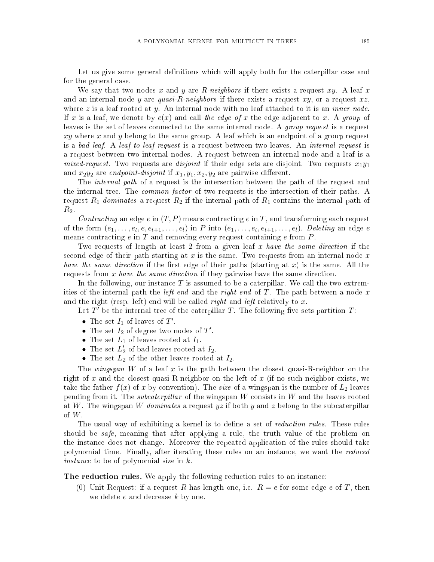Let us give some general definitions which will apply both for the caterpillar case and for the general ase.

We say that two nodes x and y are R-neighbors if there exists a request xy. A leaf x and an internal node y are quasi-R-neighbors if there exists a request  $xy$ , or a request  $xz$ , where  $z$  is a leaf rooted at  $y$ . An internal node with no leaf attached to it is an *inner node*. If x is a leaf, we denote by  $e(x)$  and call the edge of x the edge adjacent to x. A group of leaves is the set of leaves connected to the same internal node. A *group request* is a request  $xy$  where x and y belong to the same group. A leaf which is an endpoint of a group request is a bad leaf. A leaf to leaf request is a request between two leaves. An internal request is a request between two internal nodes. A request between an internal node and a leaf is a mixed-request. Two requests are disjoint if their edge sets are disjoint. Two requests  $x_1y_1$ and  $x_2y_2$  are endpoint-disjoint if  $x_1, y_1, x_2, y_2$  are pairwise different.

The *internal path* of a request is the intersection between the path of the request and the internal tree. The *common factor* of two requests is the intersection of their paths. A request  $R_1$  dominates a request  $R_2$  if the internal path of  $R_1$  contains the internal path of  $R_2$ .

Contracting an edge e in  $(T, P)$  means contracting e in T, and transforming each request of the form  $(e_1,\ldots,e_t,e,e_{t+1},\ldots,e_l)$  in P into  $(e_1,\ldots,e_t,e_{t+1},\ldots,e_l)$ . Deleting an edge e means contracting  $e$  in  $T$  and removing every request containing  $e$  from  $P$ .

Two requests of length at least 2 from a given leaf x have the same direction if the second edge of their path starting at  $x$  is the same. Two requests from an internal node  $x$ have the same direction if the first edge of their paths (starting at x) is the same. All the requests from x have the same direction if they pairwise have the same direction.

In the following, our instance  $T$  is assumed to be a caterpillar. We call the two extremities of the internal path the *left end* and the *right end* of  $T$ . The path between a node  $x$ and the right (resp. left) end will be called *right* and *left* relatively to x.

Let  $T'$  be the internal tree of the caterpillar T. The following five sets partition T:

- The set  $I_1$  of leaves of  $T'$ .
- The set  $I_2$  of degree two nodes of  $T'$ .
- The set  $L_1$  of leaves rooted at  $I_1$ .
- The set  $L_2^{\prime}$  $\frac{1}{2}$  of bad leaves rooted at  $I_2$ .
- The set  $L_2$  of the other leaves rooted at  $I_2$ .

The wingspan W of a leaf x is the path between the closest quasi-R-neighbor on the right of x and the closest quasi-R-neighbor on the left of x (if no such neighbor exists, we take the father  $f(x)$  of x by convention). The size of a wingspan is the number of  $L_2$ -leaves pending from it. The *subcaterpillar* of the wingspan  $W$  consists in  $W$  and the leaves rooted at W. The wingspan W dominates a request yz if both y and z belong to the subcaterpillar of  $W$ .

The usual way of exhibiting a kernel is to define a set of *reduction rules*. These rules should be safe, meaning that after applying a rule, the truth value of the problem on the instan
e does not hange. Moreover the repeated appli
ation of the rules should take polynomial time. Finally, after iterating these rules on an instance, we want the *reduced* instan
e to be of polynomial size in k.

The reduction rules. We apply the following reduction rules to an instance:

(0) Unit Request: if a request R has length one, i.e.  $R = e$  for some edge e of T, then we delete e and decrease k by one.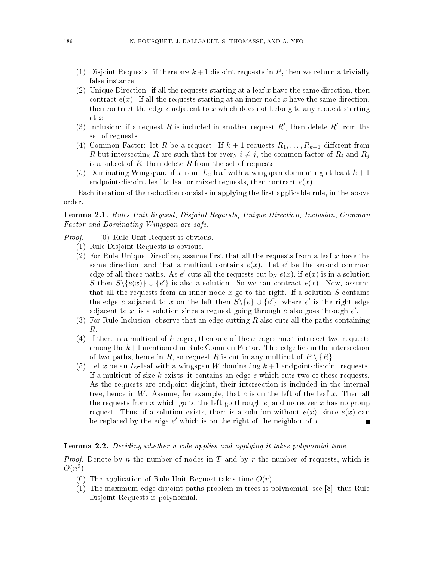- (1) Disjoint Requests: if there are  $k+1$  disjoint requests in P, then we return a trivially false instan
e.
- (2) Unique Direction: if all the requests starting at a leaf x have the same direction, then contract  $e(x)$ . If all the requests starting at an inner node x have the same direction, then contract the edge  $e$  adjacent to  $x$  which does not belong to any request starting at x.
- (3) Inclusion: if a request R is included in another request  $R'$ , then delete  $R'$  from the set of requests.
- (4) Common Factor: let R be a request. If  $k + 1$  requests  $R_1, \ldots, R_{k+1}$  different from R but intersecting R are such that for every  $i \neq j$ , the common factor of  $R_i$  and  $R_j$ is a subset of  $R$ , then delete  $R$  from the set of requests.
- (5) Dominating Wingspan: if x is an  $L_2$ -leaf with a wingspan dominating at least  $k+1$ endpoint-disjoint leaf to leaf or mixed requests, then contract  $e(x)$ .

Each iteration of the reduction consists in applying the first applicable rule, in the above order.

Lemma 2.1. Rules Unit Request, Disjoint Requests, Unique Direction, Inclusion, Common Fa
tor and Dominating Wingspan are safe.

Proof.(0) Rule Unit Request is obvious.

- (1) Rule Disjoint Requests is obvious.
- (2) For Rule Unique Direction, assume first that all the requests from a leaf x have the same direction, and that a multicut contains  $e(x)$ . Let e' be the second common edge of all these paths. As  $e'$  cuts all the requests cut by  $e(x)$ , if  $e(x)$  is in a solution S then  $S \setminus \{e(x)\} \cup \{e'\}$  is also a solution. So we can contract  $e(x)$ . Now, assume that all the requests from an inner node  $x$  go to the right. If a solution  $S$  contains the edge e adjacent to x on the left then  $S \setminus \{e\} \cup \{e'\}$ , where e' is the right edge adjacent to x, is a solution since a request going through e also goes through  $e'$ .
- $(3)$  For Rule Inclusion, observe that an edge cutting R also cuts all the paths containing R.
- $(4)$  If there is a multicut of k edges, then one of these edges must intersect two requests among the  $k+1$  mentioned in Rule Common Factor. This edge lies in the intersection of two paths, hence in R, so request R is cut in any multicut of  $P \setminus \{R\}$ .
- (5) Let x be an  $L_2$ -leaf with a wingspan W dominating  $k+1$  endpoint-disjoint requests. If a multicut of size  $k$  exists, it contains an edge  $e$  which cuts two of these requests. As the requests are endpoint-disjoint, their interse
tion is in
luded in the internal tree, hence in  $W$ . Assume, for example, that  $e$  is on the left of the leaf  $x$ . Then all the requests from x which go to the left go through  $e$ , and moreover x has no group request. Thus, if a solution exists, there is a solution without  $e(x)$ , since  $e(x)$  can be replaced by the edge  $e'$  which is on the right of the neighbor of x.

# Lemma 2.2. Deciding whether a rule applies and applying it takes polynomial time.

*Proof.* Denote by  $n$  the number of nodes in  $T$  and by  $r$  the number of requests, which is  $O(n^2)$ .

- (0) The application of Rule Unit Request takes time  $O(r)$ .
- (1) The maximum edge-disjoint paths problem in trees is polynomial, see [8], thus Rule Disjoint Requests is polynomial.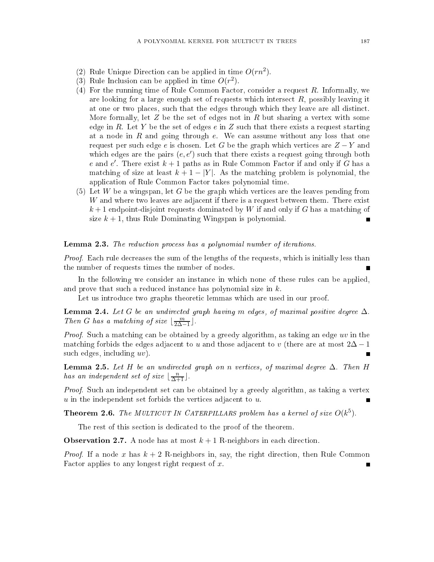- (2) Rule Unique Direction can be applied in time  $O(rn^2)$ .
- (3) Rule Inclusion can be applied in time  $O(r^2)$ .
- $(4)$  For the running time of Rule Common Factor, consider a request R. Informally, we are looking for a large enough set of requests which intersect  $R$ , possibly leaving it at one or two pla
es, su
h that the edges through whi
h they leave are all distin
t. More formally, let  $Z$  be the set of edges not in  $R$  but sharing a vertex with some edge in R. Let Y be the set of edges  $e$  in Z such that there exists a request starting at a node in  $R$  and going through  $e$ . We can assume without any loss that one request per such edge e is chosen. Let G be the graph which vertices are  $Z - Y$  and which edges are the pairs  $(e, e')$  such that there exists a request going through both e and e'. There exist  $k + 1$  paths as in Rule Common Factor if and only if  $\tilde{G}$  has a matching of size at least  $k+1-|Y|$ . As the matching problem is polynomial, the application of Rule Common Factor takes polynomial time.
- $(5)$  Let W be a wingspan, let G be the graph which vertices are the leaves pending from W and where two leaves are adjacent if there is a request between them. There exist  $k+1$  endpoint-disjoint requests dominated by W if and only if G has a matching of size  $k + 1$ , thus Rule Dominating Wingspan is polynomial.

#### **Lemma 2.3.** The reduction process has a polynomial number of iterations.

Proof. Ea
h rule de
reases the sum of the lengths of the requests, whi
h is initially less than the number of requests times the number of nodes.

In the following we consider an instance in which none of these rules can be applied, and prove that such a reduced instance has polynomial size in  $k$ .

Let us introduce two graphs theoretic lemmas which are used in our proof.

**Lemma 2.4.** Let G be an undirected graph having m edges, of maximal positive degree  $\Delta$ . Then G has a matching of size  $\lfloor \frac{m}{2\Delta-1} \rfloor$ .

Proof. Such a matching can be obtained by a greedy algorithm, as taking an edge uv in the matching forbids the edges adjacent to u and those adjacent to v (there are at most  $2\Delta - 1$ such edges, including  $uv$ .

**Lemma 2.5.** Let H be an undirected graph on n vertices, of maximal degree  $\Delta$ . Then H has an independent set of size  $\lfloor \frac{n}{\Delta+1} \rfloor$ .

Proof. Su
h an independent set an be obtained by a greedy algorithm, as taking a vertex  $u$  in the independent set forbids the vertices adjacent to  $u$ .

**Theorem 2.6.** The MULTICUT IN CATERPILLARS problem has a kernel of size  $O(k^5)$ .

The rest of this section is dedicated to the proof of the theorem.

**Observation 2.7.** A node has at most  $k+1$  R-neighbors in each direction.

*Proof.* If a node x has  $k + 2$  R-neighbors in, say, the right direction, then Rule Common Factor applies to any longest right request of  $x$ .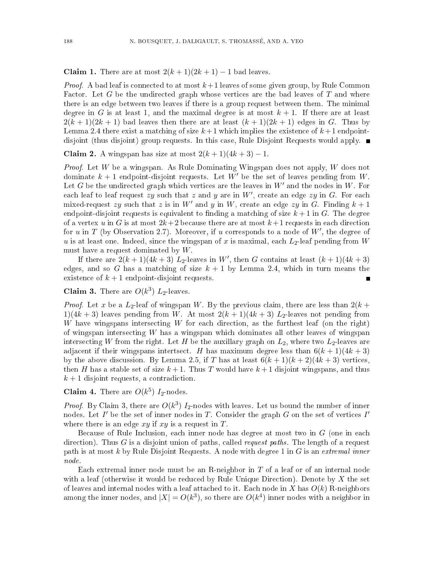**Claim 1.** There are at most  $2(k + 1)(2k + 1) - 1$  bad leaves.

*Proof.* A bad leaf is connected to at most  $k+1$  leaves of some given group, by Rule Common Factor. Let G be the undirected graph whose vertices are the bad leaves of T and where there is an edge between two leaves if there is a group request between them. The minimal degree in G is at least 1, and the maximal degree is at most  $k+1$ . If there are at least  $2(k+1)(2k+1)$  bad leaves then there are at least  $(k+1)(2k+1)$  edges in G. Thus by Lemma 2.4 there exist a matching of size  $k+1$  which implies the existence of  $k+1$  endpointdisjoint (thus disjoint) group requests. In this case, Rule Disjoint Requests would apply.  $\blacksquare$ 

Claim 2. A wingspan has size at most  $2(k+1)(4k+3)-1$ .

*Proof.* Let  $W$  be a wingspan. As Rule Dominating Wingspan does not apply,  $W$  does not dominate  $k+1$  endpoint-disjoint requests. Let W' be the set of leaves pending from W. Let G be the undirected graph which vertices are the leaves in  $W'$  and the nodes in  $W$ . For each leaf to leaf request  $zy$  such that z and y are in W', create an edge  $zy$  in G. For each mixed-request zy such that z is in W' and y in W, create an edge zy in G. Finding  $k+1$ endpoint-disjoint requests is equivalent to finding a matching of size  $k+1$  in G. The degree of a vertex u in G is at most  $2k+2$  because there are at most  $k+1$  requests in each direction for u in T (by Observation 2.7). Moreover, if u corresponds to a node of  $W'$ , the degree of  $u$  is at least one. Indeed, since the wingspan of x is maximal, each  $L_2$ -leaf pending from W must have a request dominated by  $W$ .

If there are  $2(k+1)(4k+3)$   $L_2$ -leaves in W', then G contains at least  $(k+1)(4k+3)$ edges, and so G has a matching of size  $k + 1$  by Lemma 2.4, which in turn means the existence of  $k + 1$  endpoint-disjoint requests. П

# **Claim 3.** There are  $O(k^3)$   $L_2$ -leaves.

*Proof.* Let x be a  $L_2$ -leaf of wingspan W. By the previous claim, there are less than  $2(k +$ 1)(4k + 3) leaves pending from W. At most  $2(k + 1)(4k + 3)$  L<sub>2</sub>-leaves not pending from W have wingspans intersecting  $W$  for each direction, as the furthest leaf (on the right) of wingspan interse
ting W has a wingspan whi
h dominates all other leaves of wingspan intersecting W from the right. Let H be the auxillary graph on  $L_2$ , where two  $L_2$ -leaves are adjacent if their wingspans intertsect. H has maximum degree less than  $6(k + 1)(4k + 3)$ by the above discussion. By Lemma 2.5, if T has at least  $6(k+1)(k+2)(4k+3)$  vertices, then H has a stable set of size  $k+1$ . Thus T would have  $k+1$  disjoint wingspans, and thus  $k+1$  disjoint requests, a contradiction.

**Claim 4.** There are  $O(k^5)$   $I_2$ -nodes.

*Proof.* By Claim 3, there are  $O(k^3)$  I<sub>2</sub>-nodes with leaves. Let us bound the number of inner nodes. Let I' be the set of inner nodes in T. Consider the graph G on the set of vertices I' where there is an edge  $xy$  if  $xy$  is a request in T.

Because of Rule Inclusion, each inner node has degree at most two in  $G$  (one in each direction). Thus G is a disjoint union of paths, called *request paths*. The length of a request path is at most k by Rule Disjoint Requests. A node with degree 1 in  $G$  is an extremal inner node.

Each extremal inner node must be an R-neighbor in T of a leaf or of an internal node with a leaf (otherwise it would be reduced by Rule Unique Direction). Denote by X the set of leaves and internal nodes with a leaf attached to it. Each node in X has  $O(k)$  R-neighbors among the inner nodes, and  $|X| = O(k^3)$ , so there are  $O(k^4)$  inner nodes with a neighbor in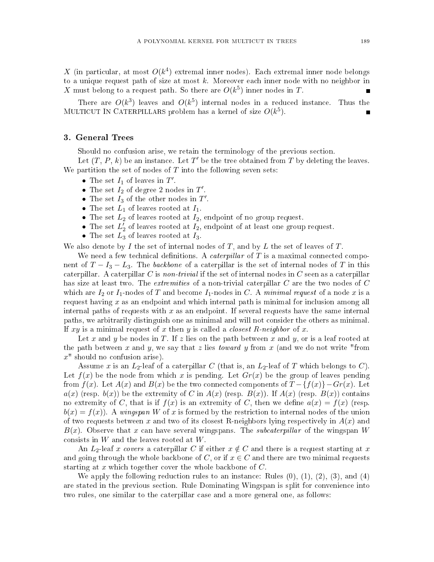X (in particular, at most  $O(k^4)$  extremal inner nodes). Each extremal inner node belongs to a unique request path of size at most  $k$ . Moreover each inner node with no neighbor in X must belong to a request path. So there are  $O(k^5)$  inner nodes in T.

There are  $O(k^3)$  leaves and  $O(k^5)$  internal nodes in a reduced instance. Thus the MULTICUT IN CATERPILLARS problem has a kernel of size  $O(k^5)$ .

#### 3. General Trees

Should no confusion arise, we retain the terminology of the previous section.

Let  $(T, P, k)$  be an instance. Let  $T'$  be the tree obtained from T by deleting the leaves. We partition the set of nodes of  $T$  into the following seven sets:

- The set  $I_1$  of leaves in  $T'$ .
- The set  $I_2$  of degree 2 nodes in  $T'$ .
- The set  $I_3$  of the other nodes in  $T'$ .
- The set  $L_1$  of leaves rooted at  $I_1$ .
- The set  $L_2$  of leaves rooted at  $I_2$ , endpoint of no group request.
- The set  $L_2^{\prime}$  $\frac{1}{2}$  of leaves rooted at  $I_2$ , endpoint of at least one group request.
- The set  $L_3$  of leaves rooted at  $I_3$ .

We also denote by I the set of internal nodes of T, and by L the set of leaves of T.

We need a few technical definitions. A *caterpillar* of T is a maximal connected component of  $T - I_3 - L_3$ . The backbone of a caterpillar is the set of internal nodes of T in this caterpillar. A caterpillar C is non-trivial if the set of internal nodes in C seen as a caterpillar has size at least two. The extremities of a non-trivial caterpillar  $C$  are the two nodes of  $C$ which are  $I_2$  or  $I_1$ -nodes of T and become  $I_1$ -nodes in C. A minimal request of a node x is a request having  $x$  as an endpoint and which internal path is minimal for inclusion among all internal paths of requests with  $x$  as an endpoint. If several requests have the same internal paths, we arbitrarily distinguish one as minimal and will not onsider the others as minimal. If xy is a minimal request of x then y is called a *closest R-neighbor* of x.

Let x and y be nodes in T. If z lies on the path between x and y, or is a leaf rooted at the path between x and y, we say that z lies *toward* y from x (and we do not write "from  $x$ " should no confusion arise).

Assume x is an  $L_2$ -leaf of a caterpillar C (that is, an  $L_2$ -leaf of T which belongs to C). Let  $f(x)$  be the node from which x is pending. Let  $Gr(x)$  be the group of leaves pending from  $f(x)$ . Let  $A(x)$  and  $B(x)$  be the two connected components of  $T - \{f(x)\} - Gr(x)$ . Let  $a(x)$  (resp.  $b(x)$ ) be the extremity of C in  $A(x)$  (resp.  $B(x)$ ). If  $A(x)$  (resp.  $B(x)$ ) contains no extremity of C, that is if  $f(x)$  is an extremity of C, then we define  $a(x) = f(x)$  (resp.  $b(x) = f(x)$ . A wingspan W of x is formed by the restriction to internal nodes of the union of two requests between x and two of its closest R-neighbors lying respectively in  $A(x)$  and  $B(x)$ . Observe that x can have several wingspans. The *subcaterpillar* of the wingspan W consists in  $W$  and the leaves rooted at  $W$ .

An  $L_2$ -leaf x covers a caterpillar C if either  $x \notin C$  and there is a request starting at x and going through the whole backbone of C, or if  $x \in C$  and there are two minimal requests starting at x which together cover the whole backbone of  $C$ .

We apply the following reduction rules to an instance: Rules  $(0), (1), (2), (3),$  and  $(4)$ are stated in the previous se
tion. Rule Dominating Wingspan is split for onvenien
e into two rules, one similar to the caterpillar case and a more general one, as follows: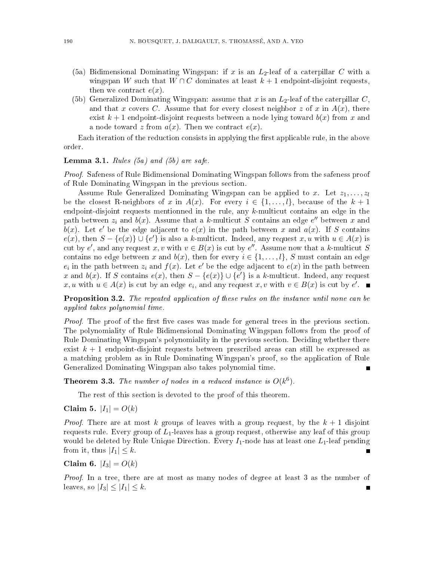- (5a) Bidimensional Dominating Wingspan: if x is an  $L_2$ -leaf of a caterpillar C with a wingspan W such that  $W \cap C$  dominates at least  $k + 1$  endpoint-disjoint requests, then we contract  $e(x)$ .
- (5b) Generalized Dominating Wingspan: assume that x is an  $L_2$ -leaf of the caterpillar C, and that x covers C. Assume that for every closest neighbor z of x in  $A(x)$ , there exist  $k+1$  endpoint-disjoint requests between a node lying toward  $b(x)$  from x and a node toward z from  $a(x)$ . Then we contract  $e(x)$ .

Each iteration of the reduction consists in applying the first applicable rule, in the above order.

# **Lemma 3.1.** Rules  $(5a)$  and  $(5b)$  are safe.

Proof. Safeness of Rule Bidimensional Dominating Wingspan follows from the safeness proof of Rule Dominating Wingspan in the previous se
tion.

Assume Rule Generalized Dominating Wingspan can be applied to x. Let  $z_1, \ldots, z_l$ be the closest R-neighbors of x in  $A(x)$ . For every  $i \in \{1, \ldots, l\}$ , because of the  $k+1$ endpoint-disjoint requests mentionned in the rule, any  $k$ -multicut contains an edge in the path between  $z_i$  and  $b(x)$ . Assume that a k-multicut  $S$  contains an edge  $e''$  between x and  $\overline{b}(x)$ . Let e' be the edge adjacent to  $e(x)$  in the path between x and  $\overline{a}(x)$ . If S contains  $e(x)$ , then  $S - \{e(x)\} \cup \{e'\}$  is also a k-multicut. Indeed, any request x, u with  $u \in A(x)$  is cut by e', and any request x, v with  $v \in B(x)$  is cut by e''. Assume now that a k-multicut S contains no edge between x and  $b(x)$ , then for every  $i \in \{1, ..., l\}$ , S must contain an edge  $e_i$  in the path between  $z_i$  and  $f(x)$ . Let e' be the edge adjacent to  $e(x)$  in the path between x and  $b(x)$ . If S contains  $e(x)$ , then  $S - \{e(x)\} \cup \{e'\}$  is a k-multicut. Indeed, any request x, u with  $u \in A(x)$  is cut by an edge  $e_i$ , and any request x, v with  $v \in B(x)$  is cut by  $e'$ .

**Proposition 3.2.** The repeated application of these rules on the instance until none can be applied to the takes polynomial time. The time of the set of the set of the set of the set of the set of the s

Proof. The proof of the rst ve ases was made for general trees in the previous se
tion. The polynomiality of Rule Bidimensional Dominating Wingspan follows from the proof of Rule Dominating Wingspan's polynomiality in the previous section. Deciding whether there exist  $k+1$  endpoint-disjoint requests between prescribed areas can still be expressed as a mat
hing problem as in Rule Dominating Wingspan's proof, so the appli
ation of Rule Generalized Dominating Wingspan also takes polynomial time.

**Theorem 3.3.** The number of nodes in a reduced instance is  $O(k^6)$ .

The rest of this se
tion is devoted to the proof of this theorem.

Claim 5.  $|I_1| = O(k)$ 

*Proof.* There are at most k groups of leaves with a group request, by the  $k + 1$  disjoint requests rule. Every group of  $L_1$ -leaves has a group request, otherwise any leaf of this group would be deleted by Rule Unique Direction. Every  $I_1$ -node has at least one  $L_1$ -leaf pending from it, thus  $|I_1| \leq k$ . П

Claim 6.  $|I_3| = O(k)$ 

Proof. In a tree, there are at most as many nodes of degree at least 3 as the number of leaves, so  $|I_3| \leq |I_1| \leq k$ .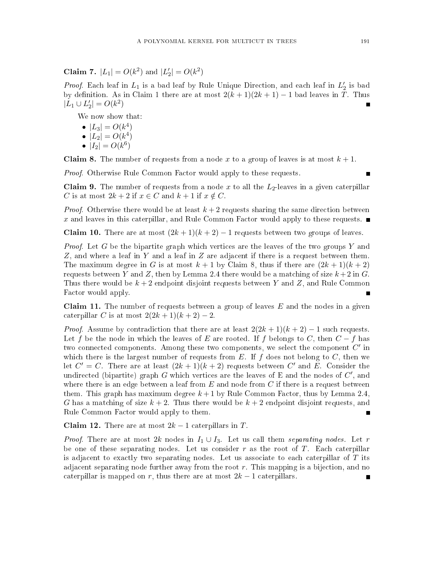Claim 7.  $|L_1| = O(k^2)$  and  $|L_2|$  $|Q_2| = O(k^2)$ 

*Proof.* Each leaf in  $L_1$  is a bad leaf by Rule Unique Direction, and each leaf in  $L_2'$  $2$  is bay by definition. As in Claim 1 there are at most  $2(k+1)(2k+1) - 1$  bad leaves in T. Thus  $|\overset{\,\,{}_\circ}{L}_{1}\cup L'_{2}\:\:$  $|2| = O(k^2)$ 

We now show that:

•  $|L_3| = O(k^4)$ •  $|L_2| = O(k^4)$ 

$$
\bullet \ \left| I_2 \right| = O(k^6)
$$

**Claim 8.** The number of requests from a node x to a group of leaves is at most  $k + 1$ .

Proof. Otherwise Rule Common Fa
tor would apply to these requests.

**Claim 9.** The number of requests from a node x to all the  $L_2$ -leaves in a given caterpillar C is at most  $2k + 2$  if  $x \in C$  and  $k + 1$  if  $x \notin C$ .

*Proof.* Otherwise there would be at least  $k+2$  requests sharing the same direction between x and leaves in this caterpillar, and Rule Common Factor would apply to these requests.  $\blacksquare$ 

**Claim 10.** There are at most  $(2k+1)(k+2)-1$  requests between two groups of leaves.

*Proof.* Let G be the bipartite graph which vertices are the leaves of the two groups Y and Z, and where a leaf in Y and a leaf in Z are adjacent if there is a request between them. The maximum degree in G is at most  $k + 1$  by Claim 8, thus if there are  $(2k + 1)(k + 2)$ requests between Y and Z, then by Lemma 2.4 there would be a matching of size  $k+2$  in G. Thus there would be  $k + 2$  endpoint disjoint requests between Y and Z, and Rule Common Factor would apply.

**Claim 11.** The number of requests between a group of leaves  $E$  and the nodes in a given caterpillar C is at most  $2(2k+1)(k+2)-2$ .

*Proof.* Assume by contradiction that there are at least  $2(2k+1)(k+2) - 1$  such requests. Let f be the node in which the leaves of E are rooted. If f belongs to C, then  $C - f$  has two connected components. Among these two components, we select the component  $C'$  in which there is the largest number of requests from  $E$ . If  $f$  does not belong to  $C$ , then we let  $C' = C$ . There are at least  $(2k+1)(k+2)$  requests between  $C'$  and  $E$ . Consider the undirected (bipartite) graph G which vertices are the leaves of E and the nodes of  $C'$ , and where there is an edge between a leaf from  $E$  and node from  $C$  if there is a request between them. This graph has maximum degree  $k+1$  by Rule Common Factor, thus by Lemma 2.4, G has a matching of size  $k+2$ . Thus there would be  $k+2$  endpoint disjoint requests, and Rule Common Factor would apply to them.

**Claim 12.** There are at most  $2k - 1$  caterpillars in T.

*Proof.* There are at most 2k nodes in  $I_1 \cup I_3$ . Let us call them separating nodes. Let r be one of these separating nodes. Let us consider  $r$  as the root of  $T$ . Each caterpillar is adjacent to exactly two separating nodes. Let us associate to each caterpillar of T its adjacent separating node further away from the root  $r$ . This mapping is a bijection, and no caterpillar is mapped on r, thus there are at most  $2k-1$  caterpillars.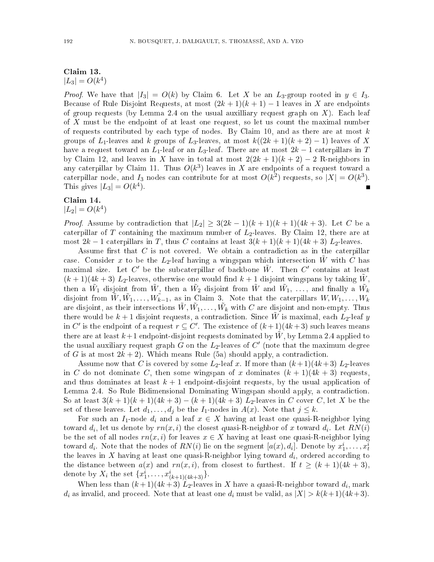# Claim 13.  $|L_3| = O(k^4)$

*Proof.* We have that  $|I_3| = O(k)$  by Claim 6. Let X be an  $L_3$ -group rooted in  $y \in I_3$ . Because of Rule Disjoint Requests, at most  $(2k+1)(k+1)-1$  leaves in X are endpoints of group requests (by Lemma 2.4 on the usual auxilliary request graph on  $X$ ). Each leaf of  $X$  must be the endpoint of at least one request, so let us count the maximal number of requests contributed by each type of nodes. By Claim 10, and as there are at most  $k$ groups of  $L_1$ -leaves and k groups of  $L_3$ -leaves, at most  $k((2k+1)(k+2)-1)$  leaves of X have a request toward an  $L_1$ -leaf or an  $L_3$ -leaf. There are at most  $2k-1$  caterpillars in T by Claim 12, and leaves in X have in total at most  $2(2k+1)(k+2) - 2$  R-neighbors in any caterpillar by Claim 11. Thus  $O(k^3)$  leaves in  $X$  are endpoints of a request toward a caterpillar node, and  $I_3$  nodes can contribute for at most  $O(k^2)$  requests, so  $|X| = O(k^3)$ . This gives  $|L_3| = O(k^4)$ .  $\blacksquare$ 

#### Claim 14.

 $|L_2| = O(k^4)$ 

*Proof.* Assume by contradiction that  $|L_2| \geq 3(2k-1)(k+1)(k+1)(4k+3)$ . Let C be a caterpillar of T containing the maximum number of  $L_2$ -leaves. By Claim 12, there are at most  $2k-1$  caterpillars in T, thus C contains at least  $3(k+1)(k+1)(4k+3)$  L<sub>2</sub>-leaves.

Assume first that  $C$  is not covered. We obtain a contradiction as in the caterpillar case. Consider x to be the  $L_2$ -leaf having a wingspan which intersection W with C has maximal size. Let C' be the subcaterpillar of backbone  $\tilde{W}$ . Then C' contains at least  $(k+1)(4k+3)$  L<sub>2</sub>-leaves, otherwise one would find  $k+1$  disjoint wingspans by taking W, then a  $\tilde{W_1}$  disjoint from  $\tilde{W}_2$ , then a  $\tilde{W_2}$  disjoint from  $\tilde{W}$  and  $\tilde{W_1},\ \ldots,\ \text{and finally a}\ \tilde{W_k}$ disjoint from  $\tilde{W}, \tilde{W_1}, \ldots, \tilde{W_{k-1}},$  as in Claim 3. Note that the caterpillars  $W, W_1, \ldots, W_k$ are disjoint, as their intersections  $\tilde{W}, \tilde{W_1}, \ldots, \tilde{W_k}$  with  $C$  are disjoint and non-empty. Thus there would be  $k+1$  disjoint requests, a contradiction. Since  $\tilde{W}$  is maximal, each  $L_2$ -leaf y in C' is the endpoint of a request  $r \subseteq C'$ . The existence of  $(k+1)(4k+3)$  such leaves means there are at least  $k+1$  endpoint-disjoint requests dominated by W, by Lemma 2.4 applied to the usual auxiliary request graph  $G$  on the  $L_2$ -leaves of  $C'$  (note that the maximum degree of G is at most  $2k + 2$ ). Which means Rule (5a) should apply, a contradiction.

Assume now that C is covered by some  $L_2$ -leaf x. If more than  $(k+1)(4k+3) L_2$ -leaves in C do not dominate C, then some wingspan of x dominates  $(k + 1)(4k + 3)$  requests, and thus dominates at least  $k + 1$  endpoint-disjoint requests, by the usual application of Lemma 2.4. So Rule Bidimensional Dominating Wingspan should apply, a contradiction. So at least  $3(k+1)(k+1)(4k+3) - (k+1)(4k+3) L_2$ -leaves in C cover C, let X be the set of these leaves. Let  $d_1, \ldots, d_j$  be the  $I_1$ -nodes in  $A(x)$ . Note that  $j \leq k$ .

For such an  $I_1$ -node  $d_i$  and a leaf  $x \in X$  having at least one quasi-R-neighbor lying toward  $d_i$ , let us denote by  $rn(x,i)$  the closest quasi-R-neighbor of x toward  $d_i$ . Let  $RN(i)$ be the set of all nodes  $rn(x,i)$  for leaves  $x \in X$  having at least one quasi-R-neighbor lying toward  $d_i$ . Note that the nodes of  $RN(i)$  lie on the segment  $[a(x), d_i]$ . Denote by  $x_1^i, \ldots, x_t^i$ the leaves in  $X$  having at least one quasi-R-neighbor lying toward  $d_i$ , ordered according to the distance between  $a(x)$  and  $rn(x, i)$ , from closest to furthest. If  $t \geq (k+1)(4k+3)$ , denote by  $X_i$  the set  $\{x_1^i, \ldots, x_{(k+1)(4k+3)}^i\}$ .

When less than  $(k+1)(4k+3)$   $L_2$ -leaves in  $X$  have a quasi-R-neighbor toward  $d_i$ , mark  $d_i$  as invalid, and proceed. Note that at least one  $d_i$  must be valid, as  $|X| > k(k+1)(4k+3)$ .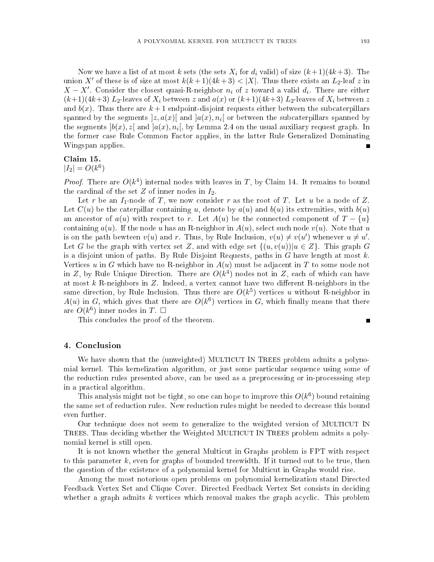Now we have a list of at most k sets (the sets  $X_i$  for  $d_i$  valid) of size  $(k+1)(4k+3)$ . The union X' of these is of size at most  $k(k+1)(4k+3) < |X|$ . Thus there exists an  $L_2$ -leaf z in  $X - X'$ . Consider the closest quasi-R-neighbor  $n_i$  of z toward a valid  $d_i$ . There are either  $(k+1)(4k+3) L_2$ -leaves of  $X_i$  between z and  $a(x)$  or  $(k+1)(4k+3) L_2$ -leaves of  $X_i$  between z and  $b(x)$ . Thus there are  $k+1$  endpoint-disjoint requests either between the subcaterpillars spanned by the segments  $]z,a(x)[$  and  $]a(x),n_{i}[$  or between the subcaterpillars spanned by the segments  $]b(x),z[$  and  $]a(x),n_i[$ , by Lemma 2.4 on the usual auxiliary request graph. In the former ase Rule Common Fa
tor applies, in the latter Rule Generalized Dominating Wingspan applies.

#### Claim 15.

 $|I_2| = O(k^6)$ 

*Proof.* There are  $O(k^4)$  internal nodes with leaves in T, by Claim 14. It remains to bound the cardinal of the set  $Z$  of inner nodes in  $I_2$ .

Let r be an  $I_1$ -node of T, we now consider r as the root of T. Let u be a node of Z. Let  $C(u)$  be the caterpillar containing u, denote by  $a(u)$  and  $b(u)$  its extremities, with  $b(u)$ an ancestor of  $a(u)$  with respect to r. Let  $A(u)$  be the connected component of  $T - \{u\}$ containing  $a(u)$ . If the node u has an R-neighbor in  $A(u)$ , select such node  $v(u)$ . Note that u is on the path bewteen  $v(u)$  and r. Thus, by Rule Inclusion,  $v(u) \neq v(u')$  whenever  $u \neq u'$ . Let G be the graph with vertex set Z, and with edge set  $\{(u,v(u))|u \in Z\}$ . This graph G is a disjoint union of paths. By Rule Disjoint Requests, paths in G have length at most  $k$ . Vertices u in G which have no R-neighbor in  $A(u)$  must be adjacent in T to some node not in Z, by Rule Unique Direction. There are  $O(k^4)$  nodes not in Z, each of which can have at most  $k$  R-neighbors in  $Z$ . Indeed, a vertex cannot have two different R-neighbors in the same direction, by Rule Inclusion. Thus there are  $O(k^5)$  vertices  $u$  without R-neighbor in  $A(u)$  in G, which gives that there are  $O(k^6)$  vertices in G, which finally means that there are  $O(k^6)$  inner nodes in T.  $\square$ 

This on
ludes the proof of the theorem.

### 4. Con
lusion

We have shown that the (unweighted) MULTICUT IN TREES problem admits a polynomial kernel. This kernelization algorithm, or just some particular sequence using some of the redu
tion rules presented above, an be used as a prepro
essing or in-pro
esssing step in a pra
ti
al algorithm.

This analysis might not be tight, so one can hope to improve this  $O(k^6)$  bound retaining the same set of reduction rules. New reduction rules might be needed to decrease this bound even further.

Our te
hnique does not seem to generalize to the weighted version of MULTICUT IN TREES. Thus deciding whether the Weighted MULTICUT IN TREES problem admits a polynomial kernel is still open.

It is not known whether the general Multicut in Graphs problem is FPT with respect to this parameter  $k$ , even for graphs of bounded treewidth. If it turned out to be true, then the question of the existen
e of a polynomial kernel for Multi
ut in Graphs would rise.

Among the most notorious open problems on polynomial kernelization stand Dire
ted Feedback Vertex Set and Clique Cover. Directed Feedback Vertex Set consists in deciding whether a graph admits  $k$  vertices which removal makes the graph acyclic. This problem

 $\blacksquare$